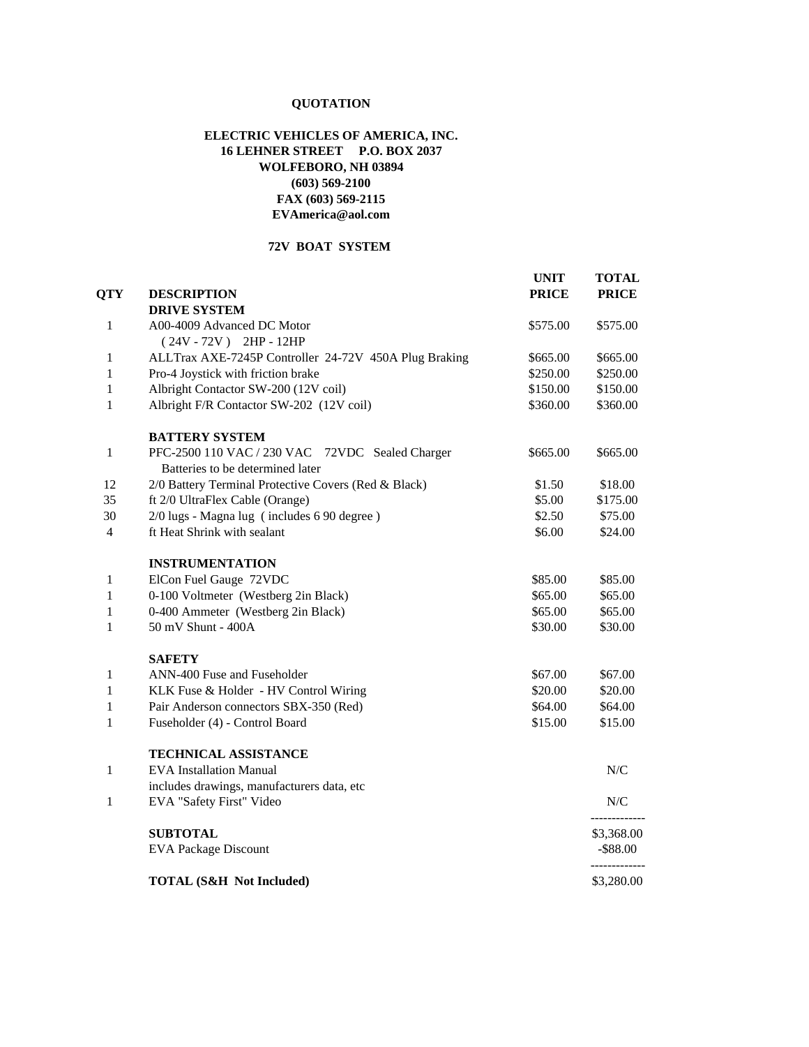# **QUOTATION**

### **ELECTRIC VEHICLES OF AMERICA, INC. 16 LEHNER STREET P.O. BOX 2037 WOLFEBORO, NH 03894 (603) 569-2100 FAX (603) 569-2115 [EVAmerica@aol.com](mailto:EVAmerica@aol.com)**

## **72V BOAT SYSTEM**

| <b>QTY</b>   | <b>DESCRIPTION</b>                                                                  | <b>UNIT</b><br><b>PRICE</b> | <b>TOTAL</b><br><b>PRICE</b> |
|--------------|-------------------------------------------------------------------------------------|-----------------------------|------------------------------|
|              | <b>DRIVE SYSTEM</b>                                                                 |                             |                              |
| 1            | A00-4009 Advanced DC Motor<br>$(24V - 72V)$ 2HP - 12HP                              | \$575.00                    | \$575.00                     |
| 1            | ALLTrax AXE-7245P Controller 24-72V 450A Plug Braking                               | \$665.00                    | \$665.00                     |
| 1            | Pro-4 Joystick with friction brake                                                  | \$250.00                    | \$250.00                     |
| 1            | Albright Contactor SW-200 (12V coil)                                                | \$150.00                    | \$150.00                     |
| 1            | Albright F/R Contactor SW-202 (12V coil)                                            | \$360.00                    | \$360.00                     |
|              | <b>BATTERY SYSTEM</b>                                                               |                             |                              |
| 1            | PFC-2500 110 VAC / 230 VAC 72VDC Sealed Charger<br>Batteries to be determined later | \$665.00                    | \$665.00                     |
| 12           | 2/0 Battery Terminal Protective Covers (Red & Black)                                | \$1.50                      | \$18.00                      |
| 35           | ft 2/0 UltraFlex Cable (Orange)                                                     | \$5.00                      | \$175.00                     |
| 30           | 2/0 lugs - Magna lug (includes 6 90 degree)                                         | \$2.50                      | \$75.00                      |
| 4            | ft Heat Shrink with sealant                                                         | \$6.00                      | \$24.00                      |
|              | <b>INSTRUMENTATION</b>                                                              |                             |                              |
| $\mathbf{1}$ | ElCon Fuel Gauge 72VDC                                                              | \$85.00                     | \$85.00                      |
| 1            | 0-100 Voltmeter (Westberg 2in Black)                                                | \$65.00                     | \$65.00                      |
| $\mathbf{1}$ | 0-400 Ammeter (Westberg 2in Black)                                                  | \$65.00                     | \$65.00                      |
| 1            | 50 mV Shunt - 400A                                                                  | \$30.00                     | \$30.00                      |
|              | <b>SAFETY</b>                                                                       |                             |                              |
| $\mathbf{1}$ | ANN-400 Fuse and Fuseholder                                                         | \$67.00                     | \$67.00                      |
| $\mathbf{1}$ | KLK Fuse & Holder - HV Control Wiring                                               | \$20.00                     | \$20.00                      |
| $\mathbf{1}$ | Pair Anderson connectors SBX-350 (Red)                                              | \$64.00                     | \$64.00                      |
| $\mathbf{1}$ | Fuseholder (4) - Control Board                                                      | \$15.00                     | \$15.00                      |
|              | <b>TECHNICAL ASSISTANCE</b>                                                         |                             |                              |
| $\mathbf{1}$ | <b>EVA</b> Installation Manual                                                      |                             | ${\rm N/C}$                  |
|              | includes drawings, manufacturers data, etc                                          |                             |                              |
| $\mathbf{1}$ | EVA "Safety First" Video                                                            |                             | N/C                          |
|              | <b>SUBTOTAL</b>                                                                     |                             | \$3,368.00                   |
|              | <b>EVA Package Discount</b>                                                         |                             | $-$ \$88.00                  |
|              | <b>TOTAL (S&amp;H Not Included)</b>                                                 |                             | \$3,280.00                   |